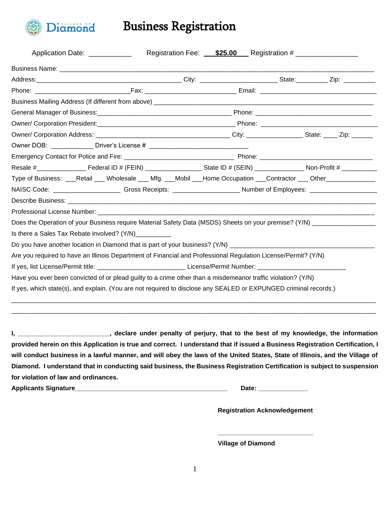

Business Registration

| Application Date: ____________                                                                                                         |  |  | Registration Fee: <b>\$25.00</b> Registration # |  |  |  |                                                                                                                  |  |  |
|----------------------------------------------------------------------------------------------------------------------------------------|--|--|-------------------------------------------------|--|--|--|------------------------------------------------------------------------------------------------------------------|--|--|
|                                                                                                                                        |  |  |                                                 |  |  |  |                                                                                                                  |  |  |
|                                                                                                                                        |  |  |                                                 |  |  |  |                                                                                                                  |  |  |
|                                                                                                                                        |  |  |                                                 |  |  |  |                                                                                                                  |  |  |
|                                                                                                                                        |  |  |                                                 |  |  |  |                                                                                                                  |  |  |
|                                                                                                                                        |  |  |                                                 |  |  |  |                                                                                                                  |  |  |
|                                                                                                                                        |  |  |                                                 |  |  |  |                                                                                                                  |  |  |
|                                                                                                                                        |  |  |                                                 |  |  |  |                                                                                                                  |  |  |
|                                                                                                                                        |  |  |                                                 |  |  |  |                                                                                                                  |  |  |
|                                                                                                                                        |  |  |                                                 |  |  |  |                                                                                                                  |  |  |
|                                                                                                                                        |  |  |                                                 |  |  |  |                                                                                                                  |  |  |
| Type of Business: ___Retail ___ Wholesale ___ Mfg. ___Mobil ___Home Occupation ___Contractor ___ Other_____________                    |  |  |                                                 |  |  |  |                                                                                                                  |  |  |
| NAISC Code: ___________________________Gross Receipts: _________________________Number of Employees: _________________________________ |  |  |                                                 |  |  |  |                                                                                                                  |  |  |
|                                                                                                                                        |  |  |                                                 |  |  |  |                                                                                                                  |  |  |
|                                                                                                                                        |  |  |                                                 |  |  |  |                                                                                                                  |  |  |
| Does the Operation of your Business require Material Safety Data (MSDS) Sheets on your premise? (Y/N) ______________                   |  |  |                                                 |  |  |  |                                                                                                                  |  |  |
| Is there a Sales Tax Rebate involved? (Y/N) __________                                                                                 |  |  |                                                 |  |  |  |                                                                                                                  |  |  |
| Do you have another location in Diamond that is part of your business? (Y/N) _______________________                                   |  |  |                                                 |  |  |  |                                                                                                                  |  |  |
| Are you required to have an Illinois Department of Financial and Professional Regulation License/Permit? (Y/N)                         |  |  |                                                 |  |  |  |                                                                                                                  |  |  |
| If yes, list License/Permit title: License / Permit Number: License/Permit Number:                                                     |  |  |                                                 |  |  |  |                                                                                                                  |  |  |
| Have you ever been convicted of or plead guilty to a crime other than a misdemeanor traffic violation? (Y/N)                           |  |  |                                                 |  |  |  |                                                                                                                  |  |  |
|                                                                                                                                        |  |  |                                                 |  |  |  | If yes, which state(s), and explain. (You are not required to disclose any SEALED or EXPUNGED criminal records.) |  |  |

**I, \_\_\_\_\_\_\_\_\_\_\_\_\_\_\_\_\_\_\_\_\_\_\_\_\_\_, declare under penalty of perjury, that to the best of my knowledge, the information provided herein on this Application is true and correct. I understand that if issued a Business Registration Certification, I will conduct business in a lawful manner, and will obey the laws of the United States, State of Illinois, and the Village of Diamond. I understand that in conducting said business, the Business Registration Certification is subject to suspension for violation of law and ordinances.**

**Applicants Signature\_\_\_\_\_\_\_\_\_\_\_\_\_\_\_\_\_\_\_\_\_\_\_\_\_\_\_\_\_\_\_\_\_\_\_\_\_\_\_\_\_\_\_ Date: \_\_\_\_\_\_\_\_\_\_\_\_\_\_**

**Registration Acknowledgement**

**\_\_\_\_\_\_\_\_\_\_\_\_\_\_\_\_\_\_\_\_\_\_\_\_\_\_\_**

**Village of Diamond**